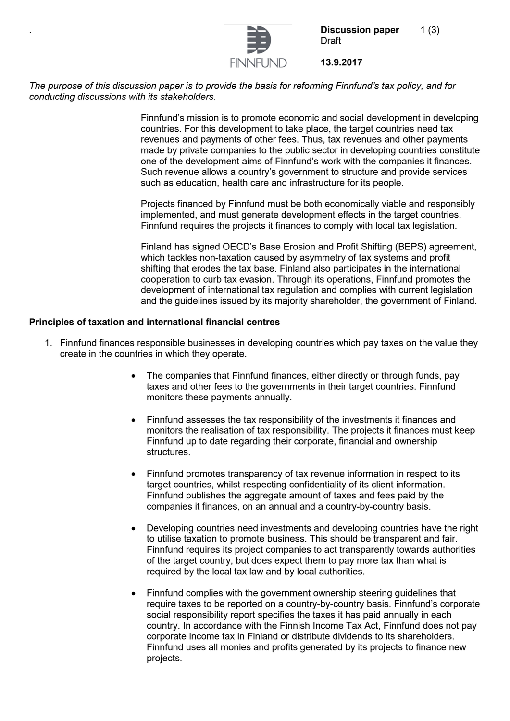

**Discussion paper** 1(3) Draft

**13.9.2017**

*The purpose of this discussion paper is to provide the basis for reforming Finnfund's tax policy, and for conducting discussions with its stakeholders.* 

> Finnfund's mission is to promote economic and social development in developing countries. For this development to take place, the target countries need tax revenues and payments of other fees. Thus, tax revenues and other payments made by private companies to the public sector in developing countries constitute one of the development aims of Finnfund's work with the companies it finances. Such revenue allows a country's government to structure and provide services such as education, health care and infrastructure for its people.

Projects financed by Finnfund must be both economically viable and responsibly implemented, and must generate development effects in the target countries. Finnfund requires the projects it finances to comply with local tax legislation.

Finland has signed OECD's Base Erosion and Profit Shifting (BEPS) agreement, which tackles non-taxation caused by asymmetry of tax systems and profit shifting that erodes the tax base. Finland also participates in the international cooperation to curb tax evasion. Through its operations, Finnfund promotes the development of international tax regulation and complies with current legislation and the guidelines issued by its majority shareholder, the government of Finland.

## **Principles of taxation and international financial centres**

- 1. Finnfund finances responsible businesses in developing countries which pay taxes on the value they create in the countries in which they operate.
	- The companies that Finnfund finances, either directly or through funds, pay taxes and other fees to the governments in their target countries. Finnfund monitors these payments annually.
	- Finnfund assesses the tax responsibility of the investments it finances and monitors the realisation of tax responsibility. The projects it finances must keep Finnfund up to date regarding their corporate, financial and ownership structures.
	- Finnfund promotes transparency of tax revenue information in respect to its target countries, whilst respecting confidentiality of its client information. Finnfund publishes the aggregate amount of taxes and fees paid by the companies it finances, on an annual and a country-by-country basis.
	- Developing countries need investments and developing countries have the right to utilise taxation to promote business. This should be transparent and fair. Finnfund requires its project companies to act transparently towards authorities of the target country, but does expect them to pay more tax than what is required by the local tax law and by local authorities.
	- Finnfund complies with the government ownership steering guidelines that require taxes to be reported on a country-by-country basis. Finnfund's corporate social responsibility report specifies the taxes it has paid annually in each country. In accordance with the Finnish Income Tax Act, Finnfund does not pay corporate income tax in Finland or distribute dividends to its shareholders. Finnfund uses all monies and profits generated by its projects to finance new projects.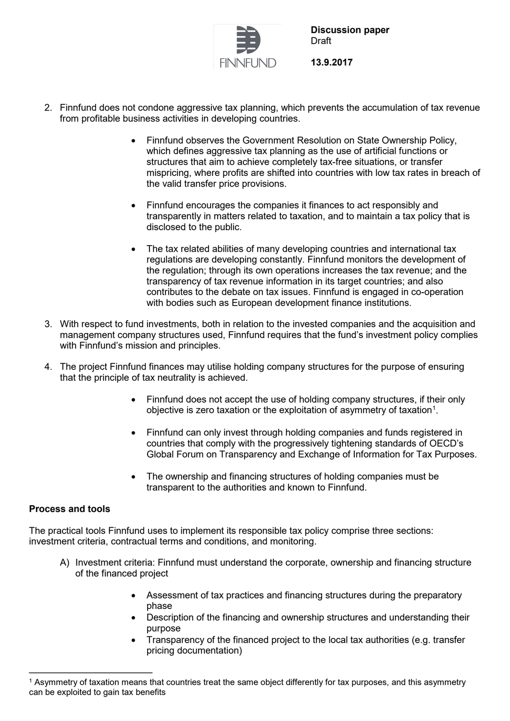

**Discussion paper** Draft

**13.9.2017**

- 2. Finnfund does not condone aggressive tax planning, which prevents the accumulation of tax revenue from profitable business activities in developing countries.
	- Finnfund observes the Government Resolution on State Ownership Policy, which defines aggressive tax planning as the use of artificial functions or structures that aim to achieve completely tax-free situations, or transfer mispricing, where profits are shifted into countries with low tax rates in breach of the valid transfer price provisions.
	- Finnfund encourages the companies it finances to act responsibly and transparently in matters related to taxation, and to maintain a tax policy that is disclosed to the public.
	- The tax related abilities of many developing countries and international tax regulations are developing constantly. Finnfund monitors the development of the regulation; through its own operations increases the tax revenue; and the transparency of tax revenue information in its target countries; and also contributes to the debate on tax issues. Finnfund is engaged in co-operation with bodies such as European development finance institutions.
- 3. With respect to fund investments, both in relation to the invested companies and the acquisition and management company structures used, Finnfund requires that the fund's investment policy complies with Finnfund's mission and principles.
- 4. The project Finnfund finances may utilise holding company structures for the purpose of ensuring that the principle of tax neutrality is achieved.
	- Finnfund does not accept the use of holding company structures, if their only objective is zero taxation or the exploitation of asymmetry of taxation $^{\tiny 1}.$  $^{\tiny 1}.$  $^{\tiny 1}.$
	- Finnfund can only invest through holding companies and funds registered in countries that comply with the progressively tightening standards of OECD's Global Forum on Transparency and Exchange of Information for Tax Purposes.
	- The ownership and financing structures of holding companies must be transparent to the authorities and known to Finnfund.

## **Process and tools**

The practical tools Finnfund uses to implement its responsible tax policy comprise three sections: investment criteria, contractual terms and conditions, and monitoring.

- A) Investment criteria: Finnfund must understand the corporate, ownership and financing structure of the financed project
	- Assessment of tax practices and financing structures during the preparatory phase
	- Description of the financing and ownership structures and understanding their purpose
	- Transparency of the financed project to the local tax authorities (e.g. transfer pricing documentation)

<span id="page-1-0"></span> <sup>1</sup> Asymmetry of taxation means that countries treat the same object differently for tax purposes, and this asymmetry can be exploited to gain tax benefits